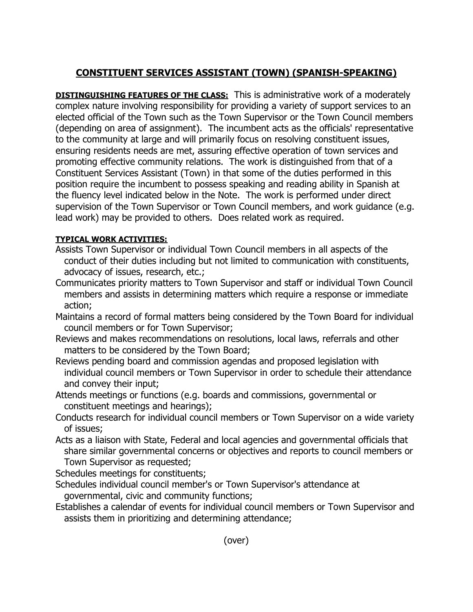## **CONSTITUENT SERVICES ASSISTANT (TOWN) (SPANISH-SPEAKING)**

**DISTINGUISHING FEATURES OF THE CLASS:** This is administrative work of a moderately complex nature involving responsibility for providing a variety of support services to an elected official of the Town such as the Town Supervisor or the Town Council members (depending on area of assignment). The incumbent acts as the officials' representative to the community at large and will primarily focus on resolving constituent issues, ensuring residents needs are met, assuring effective operation of town services and promoting effective community relations. The work is distinguished from that of a Constituent Services Assistant (Town) in that some of the duties performed in this position require the incumbent to possess speaking and reading ability in Spanish at the fluency level indicated below in the Note. The work is performed under direct supervision of the Town Supervisor or Town Council members, and work guidance (e.g. lead work) may be provided to others. Does related work as required.

## **TYPICAL WORK ACTIVITIES:**

- Assists Town Supervisor or individual Town Council members in all aspects of the conduct of their duties including but not limited to communication with constituents, advocacy of issues, research, etc.;
- Communicates priority matters to Town Supervisor and staff or individual Town Council members and assists in determining matters which require a response or immediate action;
- Maintains a record of formal matters being considered by the Town Board for individual council members or for Town Supervisor;
- Reviews and makes recommendations on resolutions, local laws, referrals and other matters to be considered by the Town Board;
- Reviews pending board and commission agendas and proposed legislation with individual council members or Town Supervisor in order to schedule their attendance and convey their input;
- Attends meetings or functions (e.g. boards and commissions, governmental or constituent meetings and hearings);
- Conducts research for individual council members or Town Supervisor on a wide variety of issues;
- Acts as a liaison with State, Federal and local agencies and governmental officials that share similar governmental concerns or objectives and reports to council members or Town Supervisor as requested;

Schedules meetings for constituents;

- Schedules individual council member's or Town Supervisor's attendance at governmental, civic and community functions;
- Establishes a calendar of events for individual council members or Town Supervisor and assists them in prioritizing and determining attendance;

(over)